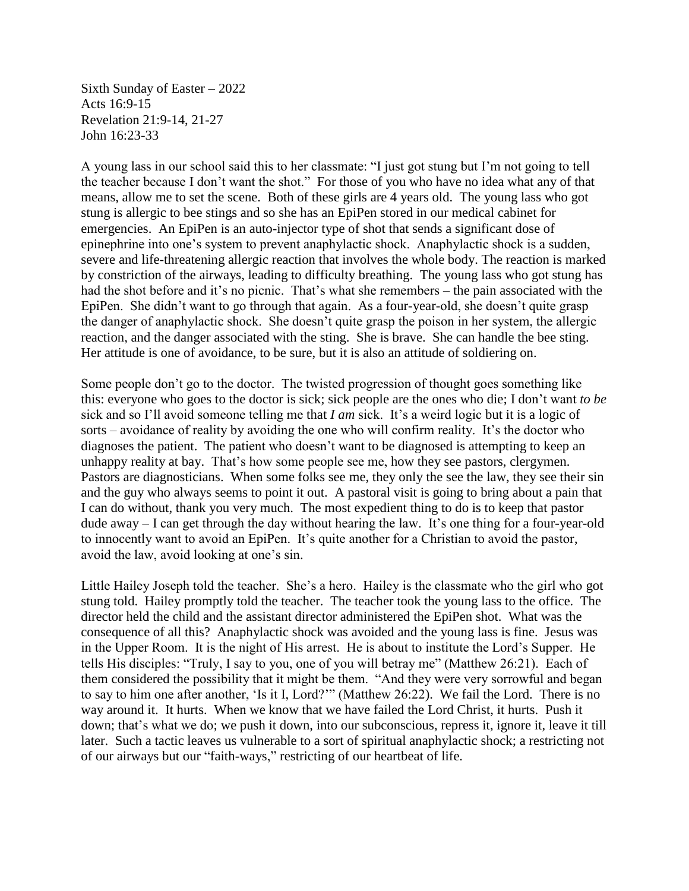Sixth Sunday of Easter – 2022 Acts 16:9-15 Revelation 21:9-14, 21-27 John 16:23-33

A young lass in our school said this to her classmate: "I just got stung but I'm not going to tell the teacher because I don't want the shot." For those of you who have no idea what any of that means, allow me to set the scene. Both of these girls are 4 years old. The young lass who got stung is allergic to bee stings and so she has an EpiPen stored in our medical cabinet for emergencies. An EpiPen is an auto-injector type of shot that sends a significant dose of epinephrine into one's system to prevent anaphylactic shock. Anaphylactic shock is a sudden, severe and life-threatening allergic reaction that involves the whole body. The reaction is marked by constriction of the airways, leading to difficulty breathing.The young lass who got stung has had the shot before and it's no picnic. That's what she remembers – the pain associated with the EpiPen. She didn't want to go through that again. As a four-year-old, she doesn't quite grasp the danger of anaphylactic shock. She doesn't quite grasp the poison in her system, the allergic reaction, and the danger associated with the sting. She is brave. She can handle the bee sting. Her attitude is one of avoidance, to be sure, but it is also an attitude of soldiering on.

Some people don't go to the doctor. The twisted progression of thought goes something like this: everyone who goes to the doctor is sick; sick people are the ones who die; I don't want *to be* sick and so I'll avoid someone telling me that *I am* sick. It's a weird logic but it is a logic of sorts – avoidance of reality by avoiding the one who will confirm reality. It's the doctor who diagnoses the patient. The patient who doesn't want to be diagnosed is attempting to keep an unhappy reality at bay. That's how some people see me, how they see pastors, clergymen. Pastors are diagnosticians. When some folks see me, they only the see the law, they see their sin and the guy who always seems to point it out. A pastoral visit is going to bring about a pain that I can do without, thank you very much. The most expedient thing to do is to keep that pastor dude away – I can get through the day without hearing the law. It's one thing for a four-year-old to innocently want to avoid an EpiPen. It's quite another for a Christian to avoid the pastor, avoid the law, avoid looking at one's sin.

Little Hailey Joseph told the teacher. She's a hero. Hailey is the classmate who the girl who got stung told. Hailey promptly told the teacher. The teacher took the young lass to the office. The director held the child and the assistant director administered the EpiPen shot. What was the consequence of all this? Anaphylactic shock was avoided and the young lass is fine. Jesus was in the Upper Room. It is the night of His arrest. He is about to institute the Lord's Supper. He tells His disciples: "Truly, I say to you, one of you will betray me" (Matthew 26:21). Each of them considered the possibility that it might be them. "And they were very sorrowful and began to say to him one after another, 'Is it I, Lord?'" (Matthew 26:22). We fail the Lord. There is no way around it. It hurts. When we know that we have failed the Lord Christ, it hurts. Push it down; that's what we do; we push it down, into our subconscious, repress it, ignore it, leave it till later. Such a tactic leaves us vulnerable to a sort of spiritual anaphylactic shock; a restricting not of our airways but our "faith-ways," restricting of our heartbeat of life.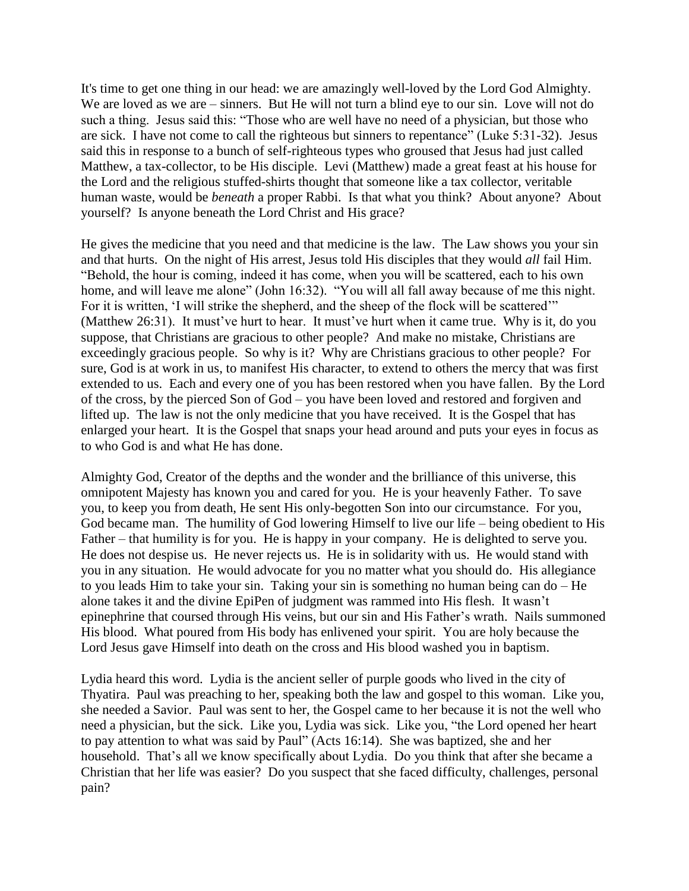It's time to get one thing in our head: we are amazingly well-loved by the Lord God Almighty. We are loved as we are – sinners. But He will not turn a blind eye to our sin. Love will not do such a thing. Jesus said this: "Those who are well have no need of a physician, but those who are sick. I have not come to call the righteous but sinners to repentance" (Luke 5:31-32). Jesus said this in response to a bunch of self-righteous types who groused that Jesus had just called Matthew, a tax-collector, to be His disciple. Levi (Matthew) made a great feast at his house for the Lord and the religious stuffed-shirts thought that someone like a tax collector, veritable human waste, would be *beneath* a proper Rabbi. Is that what you think? About anyone? About yourself? Is anyone beneath the Lord Christ and His grace?

He gives the medicine that you need and that medicine is the law. The Law shows you your sin and that hurts. On the night of His arrest, Jesus told His disciples that they would *all* fail Him. "Behold, the hour is coming, indeed it has come, when you will be scattered, each to his own home, and will leave me alone" (John 16:32). "You will all fall away because of me this night. For it is written, 'I will strike the shepherd, and the sheep of the flock will be scattered'" (Matthew 26:31). It must've hurt to hear. It must've hurt when it came true. Why is it, do you suppose, that Christians are gracious to other people? And make no mistake, Christians are exceedingly gracious people. So why is it? Why are Christians gracious to other people? For sure, God is at work in us, to manifest His character, to extend to others the mercy that was first extended to us. Each and every one of you has been restored when you have fallen. By the Lord of the cross, by the pierced Son of God – you have been loved and restored and forgiven and lifted up. The law is not the only medicine that you have received. It is the Gospel that has enlarged your heart. It is the Gospel that snaps your head around and puts your eyes in focus as to who God is and what He has done.

Almighty God, Creator of the depths and the wonder and the brilliance of this universe, this omnipotent Majesty has known you and cared for you. He is your heavenly Father. To save you, to keep you from death, He sent His only-begotten Son into our circumstance. For you, God became man. The humility of God lowering Himself to live our life – being obedient to His Father – that humility is for you. He is happy in your company. He is delighted to serve you. He does not despise us. He never rejects us. He is in solidarity with us. He would stand with you in any situation. He would advocate for you no matter what you should do. His allegiance to you leads Him to take your sin. Taking your sin is something no human being can do – He alone takes it and the divine EpiPen of judgment was rammed into His flesh. It wasn't epinephrine that coursed through His veins, but our sin and His Father's wrath. Nails summoned His blood. What poured from His body has enlivened your spirit. You are holy because the Lord Jesus gave Himself into death on the cross and His blood washed you in baptism.

Lydia heard this word. Lydia is the ancient seller of purple goods who lived in the city of Thyatira. Paul was preaching to her, speaking both the law and gospel to this woman. Like you, she needed a Savior. Paul was sent to her, the Gospel came to her because it is not the well who need a physician, but the sick. Like you, Lydia was sick. Like you, "the Lord opened her heart to pay attention to what was said by Paul" (Acts 16:14). She was baptized, she and her household. That's all we know specifically about Lydia. Do you think that after she became a Christian that her life was easier? Do you suspect that she faced difficulty, challenges, personal pain?